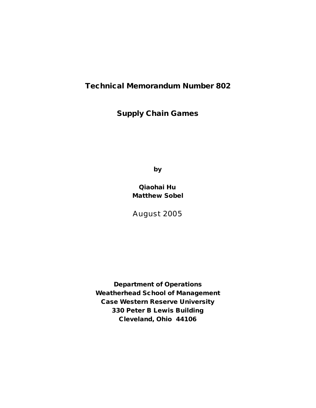## **Technical Memorandum Number 802**

# **Supply Chain Games**

**by**

**Qiaohai Hu Matthew Sobel**

August 2005

**Department of Operations Weatherhead School of Management Case Western Reserve University 330 Peter B Lewis Building Cleveland, Ohio 44106**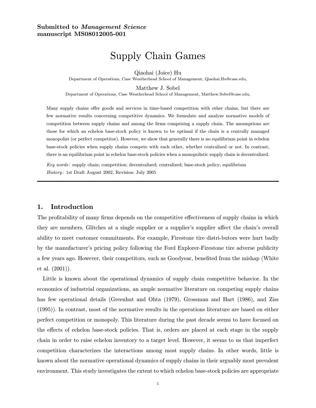## Submitted to Management Science manuscript MS08012005-001

# Supply Chain Games

Qiaohai (Joice) Hu

Department of Operations, Case Weatherhead School of Management, Qiaohai.Hu@case.edu,

Matthew J. Sobel

Department of Operations, Case Weatherhead School of Management, Matthew.Sobel@case.edu,

Many supply chains offer goods and services in time-based competition with other chains, but there are few normative results concerning competitive dynamics. We formulate and analyze normative models of competition between supply chains and among the firms comprising a supply chain. The assumptions are those for which an echelon base-stock policy is known to be optimal if the chain is a centrally managed monopolist (or perfect competitor). However, we show that generally there is no equilibrium point in echelon base-stock policies when supply chains compete with each other, whether centralized or not. In contrast, there is an equilibrium point in echelon base-stock policies when a monopolistic supply chain is decentralized.

Key words: supply chain; competition; decentralized; centralized; base-stock policy; equilibrium History: 1st Draft August 2002, Revision: July 2005

### 1. Introduction

The profitability of many firms depends on the competitive effectiveness of supply chains in which they are members. Glitches at a single supplier or a supplier's supplier affect the chain's overall ability to meet customer commitments. For example, Firestone tire distri-butors were hurt badly by the manufacturer's pricing policy following the Ford Explorer-Firestone tire adverse publicity a few years ago. However, their competitors, such as Goodyear, benefited from the mishap (White et al. (2001)).

Little is known about the operational dynamics of supply chain competitive behavior. In the economics of industrial organizations, an ample normative literature on competing supply chains has few operational details (Greenhut and Ohta (1979), Grossman and Hart (1986), and Ziss (1995)). In contrast, most of the normative results in the operations literature are based on either perfect competition or monopoly. This literature during the past decade seems to have focused on the effects of echelon base-stock policies. That is, orders are placed at each stage in the supply chain in order to raise echelon inventory to a target level. However, it seems to us that imperfect competition characterizes the interactions among most supply chains. In other words, little is known about the normative operational dynamics of supply chains in their arguably most prevalent environment. This study investigates the extent to which echelon base-stock policies are appropriate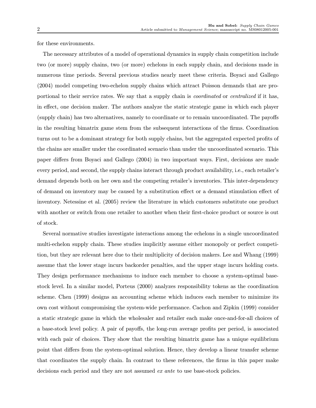for these environments.

The necessary attributes of a model of operational dynamics in supply chain competition include two (or more) supply chains, two (or more) echelons in each supply chain, and decisions made in numerous time periods. Several previous studies nearly meet these criteria. Boyaci and Gallego (2004) model competing two-echelon supply chains which attract Poisson demands that are proportional to their service rates. We say that a supply chain is *coordinated* or *centralized* if it has, in effect, one decision maker. The authors analyze the static strategic game in which each player (supply chain) has two alternatives, namely to coordinate or to remain uncoordinated. The payoffs in the resulting bimatrix game stem from the subsequent interactions of the firms. Coordination turns out to be a dominant strategy for both supply chains, but the aggregated expected profits of the chains are smaller under the coordinated scenario than under the uncoordinated scenario. This paper differs from Boyaci and Gallego (2004) in two important ways. First, decisions are made every period, and second, the supply chains interact through product availability, i.e., each retailer's demand depends both on her own and the competing retailer's inventories. This inter-dependency of demand on inventory may be caused by a substitution effect or a demand stimulation effect of inventory. Netessine et al. (2005) review the literature in which customers substitute one product with another or switch from one retailer to another when their first-choice product or source is out of stock.

Several normative studies investigate interactions among the echelons in a single uncoordinated multi-echelon supply chain. These studies implicitly assume either monopoly or perfect competition, but they are relevant here due to their multiplicity of decision makers. Lee and Whang (1999) assume that the lower stage incurs backorder penalties, and the upper stage incurs holding costs. They design performance mechanisms to induce each member to choose a system-optimal basestock level. In a similar model, Porteus (2000) analyzes responsibility tokens as the coordination scheme. Chen (1999) designs an accounting scheme which induces each member to minimize its own cost without compromising the system-wide performance. Cachon and Zipkin (1999) consider a static strategic game in which the wholesaler and retailer each make once-and-for-all choices of a base-stock level policy. A pair of payoffs, the long-run average profits per period, is associated with each pair of choices. They show that the resulting bimatrix game has a unique equilibrium point that differs from the system-optimal solution. Hence, they develop a linear transfer scheme that coordinates the supply chain. In contrast to these references, the firms in this paper make decisions each period and they are not assumed ex ante to use base-stock policies.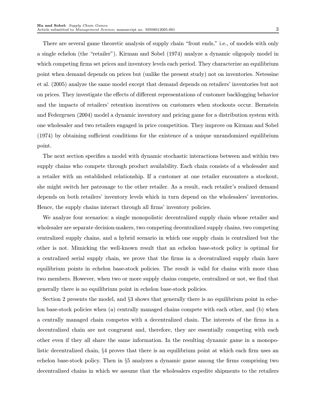There are several game theoretic analysis of supply chain "front ends," i.e., of models with only a single echelon (the "retailer"). Kirman and Sobel (1974) analyze a dynamic oligopoly model in which competing firms set prices and inventory levels each period. They characterize an equilibrium point when demand depends on prices but (unlike the present study) not on inventories. Netessine et al. (2005) analyze the same model except that demand depends on retailers' inventories but not on prices. They investigate the effects of different representations of customer backlogging behavior and the impacts of retailers' retention incentives on customers when stockouts occur. Bernstein and Federgruen (2004) model a dynamic inventory and pricing game for a distribution system with one wholesaler and two retailers engaged in price competition. They improve on Kirman and Sobel (1974) by obtaining sufficient conditions for the existence of a unique unrandomized equilibrium point.

The next section specifies a model with dynamic stochastic interactions between and within two supply chains who compete through product availability. Each chain consists of a wholesaler and a retailer with an established relationship. If a customer at one retailer encounters a stockout, she might switch her patronage to the other retailer. As a result, each retailer's realized demand depends on both retailers' inventory levels which in turn depend on the wholesalers' inventories. Hence, the supply chains interact through all firms' inventory policies.

We analyze four scenarios: a single monopolistic decentralized supply chain whose retailer and wholesaler are separate decision-makers, two competing decentralized supply chains, two competing centralized supply chains, and a hybrid scenario in which one supply chain is centralized but the other is not. Mimicking the well-known result that an echelon base-stock policy is optimal for a centralized serial supply chain, we prove that the firms in a decentralized supply chain have equilibrium points in echelon base-stock policies. The result is valid for chains with more than two members. However, when two or more supply chains compete, centralized or not, we find that generally there is no equilibrium point in echelon base-stock policies.

Section 2 presents the model, and §3 shows that generally there is no equilibrium point in echelon base-stock policies when (a) centrally managed chains compete with each other, and (b) when a centrally managed chain competes with a decentralized chain. The interests of the firms in a decentralized chain are not congruent and, therefore, they are essentially competing with each other even if they all share the same information. In the resulting dynamic game in a monopolistic decentralized chain, §4 proves that there is an equilibrium point at which each firm uses an echelon base-stock policy. Then in §5 analyzes a dynamic game among the firms comprising two decentralized chains in which we assume that the wholesalers expedite shipments to the retailers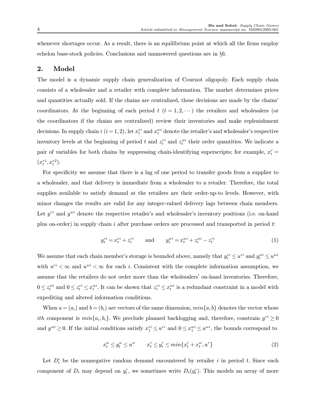whenever shortages occur. As a result, there is an equilibrium point at which all the firms employ echelon base-stock policies. Conclusions and unanswered questions are in §6.

### 2. Model

The model is a dynamic supply chain generalization of Cournot oligopoly. Each supply chain consists of a wholesaler and a retailer with complete information. The market determines prices and quantities actually sold. If the chains are centralized, these decisions are made by the chains' coordinators. At the beginning of each period  $t$   $(t = 1, 2, \cdots)$  the retailers and wholesalers (or the coordinators if the chains are centralized) review their inventories and make replenishment decisions. In supply chain  $i$   $(i = 1, 2)$ , let  $x_i^{ri}$  and  $x_i^{wi}$  denote the retailer's and wholesaler's respective inventory levels at the beginning of period t and  $z_t^{ri}$  and  $z_t^{wi}$  their order quantities. We indicate a pair of variables for both chains by suppressing chain-identifying superscripts; for example,  $x_t^r =$  $(x_t^{r_1}, x_t^{r_2}).$ 

For specificity we assume that there is a lag of one period to transfer goods from a supplier to a wholesaler, and that delivery is immediate from a wholesaler to a retailer. Therefore, the total supplies available to satisfy demand at the retailers are their order-up-to levels. However, with minor changes the results are valid for any integer-valued delivery lags between chain members. Let  $y^{ri}$  and  $y^{wi}$  denote the respective retailer's and wholesaler's inventory positions (i.e. on-hand plus on-order) in supply chain i after purchase orders are processed and transported in period  $t$ :

$$
y_t^{ri} = x_t^{ri} + z_t^{ri} \qquad \text{and} \qquad y_t^{wi} = x_t^{wi} + z_t^{wi} - z_t^{ri} \tag{1}
$$

We assume that each chain member's storage is bounded above, namely that  $y_t^{ri} \leq u^{ri}$  and  $y_t^{wi} \leq u^{wi}$ with  $u^{ri} < \infty$  and  $u^{wi} < \infty$  for each *i*. Consistent with the complete information assumption, we assume that the retailers do not order more than the wholesalers' on-hand inventories. Therefore,  $0 \leq z_t^{wi}$  and  $0 \leq z_t^{ri} \leq x_t^{wi}$ . It can be shown that  $z_t^{ri} \leq x_t^{wi}$  is a redundant constraint in a model with expediting and altered information conditions.

When  $a = (a_i)$  and  $b = (b_i)$  are vectors of the same dimension,  $min\{a, b\}$  denotes the vector whose *ith* component is  $min\{a_i, b_i\}$ . We preclude planned backlogging and, therefore, constrain  $y^{ri} \ge 0$ and  $y^{wi} \ge 0$ . If the initial conditions satisfy  $x_1^{ri} \le u^{ri}$  and  $0 \le x_1^{wi} \le u^{wi}$ , the bounds correspond to

$$
x_t^w \le y_t^w \le u^w \qquad x_t^r \le y_t^r \le \min\{x_t^r + x_t^w, u^r\} \tag{2}
$$

Let  $D_t^i$  be the nonnegative random demand encountered by retailer i in period t. Since each component of  $D_t$  may depend on  $y_t^r$ , we sometimes write  $D_t(y_t^r)$ . This models an array of more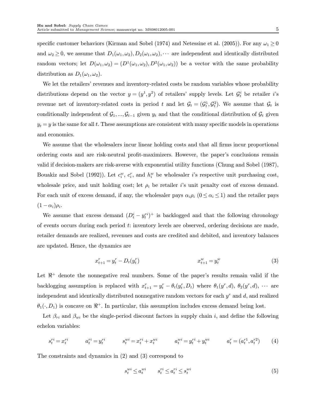specific customer behaviors (Kirman and Sobel (1974) and Netessine et al. (2005)). For any  $\omega_1 \geq 0$ and  $\omega_2 \geq 0$ , we assume that  $D_1(\omega_1, \omega_2), D_2(\omega_1, \omega_2), \cdots$  are independent and identically distributed random vectors; let  $D(\omega_1, \omega_2)=(D^1(\omega_1, \omega_2), D^2(\omega_1, \omega_2))$  be a vector with the same probability distribution as  $D_1(\omega_1, \omega_2)$ .

We let the retailers' revenues and inventory-related costs be random variables whose probability distributions depend on the vector  $y = (y^1, y^2)$  of retailers' supply levels. Let  $\mathcal{G}_t^i$  be retailer i's revenue net of inventory-related costs in period t and let  $\mathcal{G}_t = (\mathcal{G}_t^1, \mathcal{G}_t^2)$ . We assume that  $\mathcal{G}_t$  is conditionally independent of  $\mathcal{G}_1, ..., \mathcal{G}_{t-1}$  given  $y_t$  and that the conditional distribution of  $\mathcal{G}_t$  given  $y_t = y$  is the same for all t. These assumptions are consistent with many specific models in operations and economics.

We assume that the wholesalers incur linear holding costs and that all firms incur proportional ordering costs and are risk-neutral profit-maximizers. However, the paper's conclusions remain valid if decision-makers are risk-averse with exponential utility functions (Chung and Sobel (1987), Bouakiz and Sobel (1992)). Let  $c_i^w$ ,  $c_i^r$ , and  $h_i^w$  be wholesaler *i*'s respective unit purchasing cost, wholesale price, and unit holding cost; let  $\rho_i$  be retailer i's unit penalty cost of excess demand. For each unit of excess demand, if any, the wholesaler pays  $\alpha_i \rho_i$  ( $0 \leq \alpha_i \leq 1$ ) and the retailer pays  $(1 - \alpha_i)\rho_i$ .

We assume that excess demand  $(D_t^i - y_t^{ri})^+$  is backlogged and that the following chronology of events occurs during each period t: inventory levels are observed, ordering decisions are made, retailer demands are realized, revenues and costs are credited and debited, and inventory balances are updated. Hence, the dynamics are

$$
x_{t+1}^r = y_t^r - D_t(y_t^r) \tag{3}
$$

Let  $\mathbb{R}^+$  denote the nonnegative real numbers. Some of the paper's results remain valid if the backlogging assumption is replaced with  $x_{t+1}^r = y_t^r - \theta_t(y_t^r, D_t)$  where  $\theta_1(y^r, d)$ ,  $\theta_2(y^r, d)$ ,  $\cdots$  are independent and identically distributed nonnegative random vectors for each  $y<sup>r</sup>$  and d, and realized  $\theta_1(\cdot, D_1)$  is concave on  $\mathbb{R}^+$ . In particular, this assumption includes excess demand being lost.

Let  $\beta_{ri}$  and  $\beta_{wi}$  be the single-period discount factors in supply chain i, and define the following echelon variables:

$$
s_t^{ri} = x_t^{ri} \qquad a_t^{ri} = y_t^{ri} \qquad s_t^{wi} = x_t^{ri} + x_t^{wi} \qquad a_t^{wi} = y_t^{ri} + y_t^{wi} \qquad a_t^r = (a_t^{r1}, a_t^{r2}) \qquad (4)
$$

The constraints and dynamics in (2) and (3) correspond to

$$
s_t^{wi} \le a_t^{wi} \qquad s_t^{ri} \le a_t^{ri} \le s_t^{wi} \tag{5}
$$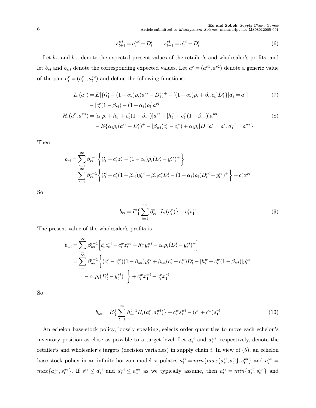$$
s_{t+1}^{wi} = a_t^{wi} - D_t^i \qquad s_{t+1}^{ri} = a_t^{ri} - D_t^i \tag{6}
$$

Let  $b_{ri}$  and  $b_{wi}$  denote the expected present values of the retailer's and wholesaler's profits, and let  $b_{ri}$  and  $b_{wi}$  denote the corresponding expected values. Let  $a^r = (a^{r1}, a^{r2})$  denote a generic value of the pair  $a_t^r = (a_t^{r_1}, a_t^{r_2})$  and define the following functions:

$$
L_i(a^r) = E[\{\mathcal{G}_1^i - (1 - \alpha_i)\rho_i(a^{ri} - D_1^i)^+ - [(1 - \alpha_i)\rho_i + \beta_{ri}c_i^r]D_1^i\}|a_1^r = a^r]
$$
  
 
$$
- [c_i^r(1 - \beta_{ri}) - (1 - \alpha_i)\rho_i]a^{ri}
$$
 (7)

$$
H_i(a^r, a^{wi}) = [\alpha_i \rho_i + h_i^w + c_i^r (1 - \beta_{wi})]a^{ri} - [h_i^w + c_i^w (1 - \beta_{wi})]a^{wi} - E\{\alpha_i \rho_i(a^{ri} - D_1^i)^+ - [\beta_{wi}(c_i^r - c_i^w) + \alpha_i \rho_i]D_1^i|a_1^r = a^r, a_1^{wi} = a^{wi}\}
$$
\n(8)

Then

$$
b_{ri} = \sum_{t=1}^{\infty} \beta_{ri}^{t-1} \left\{ \mathcal{G}_t^i - c_i^r z_t^r - (1 - \alpha_i) \rho_i (D_t^i - y_t^{ri})^+ \right\}
$$
  
= 
$$
\sum_{t=1}^{\infty} \beta_{ri}^{t-1} \left\{ \mathcal{G}_t^i - c_i^r (1 - \beta_{ri}) y_t^{ri} - \beta_{ri} c_i^r D_t^i - (1 - \alpha_i) \rho_i (D_t^{ri} - y_t^{ri})^+ \right\} + c_i^r x_1^{ri}
$$

So

$$
b_{ri} = E\left\{\sum_{t=1}^{\infty} \beta_{ri}^{t-1} L_i(a_i^r)\right\} + c_i^r s_1^{ri}
$$
\n(9)

The present value of the wholesaler's profits is

$$
b_{wi} = \sum_{t=1}^{\infty} \beta_{wi}^{t-1} \left[ c_i^r z_t^{ri} - c_i^w z_t^{wi} - h_i^w y_t^{wi} - \alpha_i \rho_i (D_t^i - y_t^{ri})^+ \right]
$$
  
= 
$$
\sum_{t=1}^{\infty} \beta_{wi}^{t-1} \left\{ (c_i^r - c_i^w)(1 - \beta_{wi})y_t^{ri} + \beta_{wi}(c_i^r - c_i^w)D_t^i - [h_i^w + c_i^w(1 - \beta_{wi})]y_t^{wi} - \alpha_i \rho_i (D_t^i - y_t^{ri})^+ \right\} + c_i^w x_1^{wi} - c_i^r x_1^{ri} \right\}
$$

So

$$
b_{wi} = E\left\{\sum_{t=1}^{\infty} \beta_{wi}^{t-1} H_i(a_t^r, a_t^{wi})\right\} + c_i^w s_1^{wi} - (c_i^r + c_i^w) s_1^{ri}
$$
(10)

An echelon base-stock policy, loosely speaking, selects order quantities to move each echelon's inventory position as close as possible to a target level. Let  $a_*^{ri}$  and  $a_*^{wi}$ , respectively, denote the retailer's and wholesaler's targets (decision variables) in supply chain i. In view of (5), an echelon base-stock policy in an infinite-horizon model stipulates  $a_t^{ri} = min\{max\{a_*^{ri}, s_t^{ri}\}, s_t^{wi}\}$  and  $a_t^{wi} =$  $max\{a_*^{wi}, s_t^{wi}\}$ . If  $s_1^{ri} \leq a_*^{ri}$  and  $s_1^{wi} \leq a_*^{wi}$  as we typically assume, then  $a_t^{ri} = min\{a_*^{ri}, s_t^{wi}\}$  and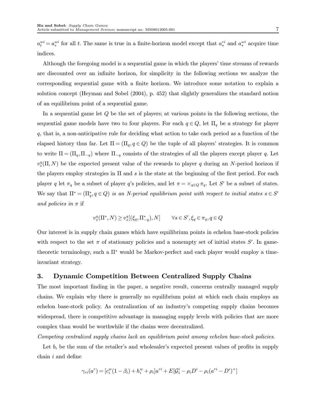$a_t^{wi} = a_*^{wi}$  for all t. The same is true in a finite-horizon model except that  $a_*^{ri}$  and  $a_*^{wi}$  acquire time indices.

Although the foregoing model is a sequential game in which the players' time streams of rewards are discounted over an infinite horizon, for simplicity in the following sections we analyze the corresponding sequential game with a finite horizon. We introduce some notation to explain a solution concept (Heyman and Sobel (2004), p. 452) that slightly generalizes the standard notion of an equilibrium point of a sequential game.

In a sequential game let Q be the set of players; at various points in the following sections, the sequential game models have two to four players. For each  $q \in Q$ , let  $\Pi_q$  be a strategy for player q, that is, a non-anticipative rule for deciding what action to take each period as a function of the elapsed history thus far. Let  $\Pi = (\Pi_q, q \in Q)$  be the tuple of all players' strategies. It is common to write  $\Pi = (\Pi_q, \Pi_{-q})$  where  $\Pi_{-q}$  consists of the strategies of all the players except player q. Let  $v_s^q(\Pi, N)$  be the expected present value of the rewards to player q during an N-period horizon if the players employ strategies in  $\Pi$  and s is the state at the beginning of the first period. For each player q let  $\pi_q$  be a subset of player q's policies, and let  $\pi = \times_{q \in Q} \pi_q$ . Let S' be a subset of states. We say that  $\Pi^* = (\Pi_q^*, q \in Q)$  is an N-period equilibrium point with respect to initial states  $s \in S'$ and policies in  $\pi$  if

$$
v_s^q(\Pi^*, N) \ge v_s^q[(\xi_q, \Pi_{-q}^*), N] \qquad \forall s \in S', \xi_q \in \pi_q, q \in Q
$$

Our interest is in supply chain games which have equilibrium points in echelon base-stock policies with respect to the set  $\pi$  of stationary policies and a nonempty set of initial states S'. In gametheoretic terminology, such a  $\Pi^*$  would be Markov-perfect and each player would employ a timeinvariant strategy.

#### 3. Dynamic Competition Between Centralized Supply Chains

The most important finding in the paper, a negative result, concerns centrally managed supply chains. We explain why there is generally no equilibrium point at which each chain employs an echelon base-stock policy. As centralization of an industry's competing supply chains becomes widespread, there is competitive advantage in managing supply levels with policies that are more complex than would be worthwhile if the chains were decentralized.

Competing centralized supply chains lack an equilibrium point among echelon base-stock policies.

Let  $b_i$  be the sum of the retailer's and wholesaler's expected present values of profits in supply chain i and define

$$
\gamma_{ri}(a^r) = [c_i^w(1-\beta_i) + h_i^w + \rho_i]a^{ri} + E[\mathcal{G}_1^i - \rho_i D^i - \rho_i(a^{ri} - D^i)^+]
$$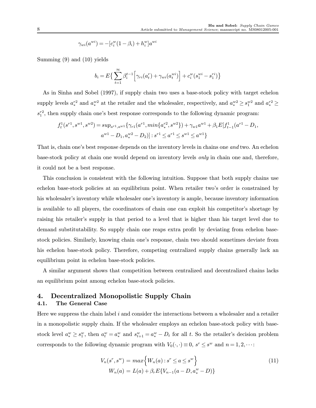$$
\gamma_{wi}(a^{wi}) = -[c_i^w(1-\beta_i) + h_i^w]a^{wi}
$$

Summing (9) and (10) yields

$$
b_i = E\left\{\sum_{t=1}^{\infty} \beta_i^{t-1} \left[\gamma_{ri}(a_i^r) + \gamma_{wi}(a_i^{wi})\right] + c_i^w(s_1^{wi} - s_1^{ri})\right\}
$$

As in Sinha and Sobel (1997), if supply chain two uses a base-stock policy with target echelon supply levels  $a_*^{r_2}$  and  $a_*^{w_2}$  at the retailer and the wholesaler, respectively, and  $a_*^{w_2} \ge s_1^{w_2}$  and  $a_*^{r_2} \ge$  $s_1^{r2}$ , then supply chain one's best response corresponds to the following dynamic program:

$$
f_t^1(s^{r_1}, s^{w_1}, s^{w_2}) = \sup_{a^{r_1}, a^{w_1}} \{ \gamma_{r_1}(a^{r_1}, \min\{a^{r_2}_*, s^{w_2}\}) + \gamma_{w_1}a^{w_1} + \beta_1 E[f_{t-1}^1(a^{r_1} - D_1, a^{w_1} - D_1, a^{w_2} - D_2)] : s^{r_1} \le a^{r_1} \le s^{w_1} \le a^{w_1} \}
$$

That is, chain one's best response depends on the inventory levels in chains one and two. An echelon base-stock policy at chain one would depend on inventory levels only in chain one and, therefore, it could not be a best response.

This conclusion is consistent with the following intuition. Suppose that both supply chains use echelon base-stock policies at an equilibrium point. When retailer two's order is constrained by his wholesaler's inventory while wholesaler one's inventory is ample, because inventory information is available to all players, the coordinators of chain one can exploit his competitor's shortage by raising his retailer's supply in that period to a level that is higher than his target level due to demand substitutability. So supply chain one reaps extra profit by deviating from echelon basestock policies. Similarly, knowing chain one's response, chain two should sometimes deviate from his echelon base-stock policy. Therefore, competing centralized supply chains generally lack an equilibrium point in echelon base-stock policies.

A similar argument shows that competition between centralized and decentralized chains lacks an equilibrium point among echelon base-stock policies.

## 4. Decentralized Monopolistic Supply Chain

#### 4.1. The General Case

Here we suppress the chain label  $i$  and consider the interactions between a wholesaler and a retailer in a monopolistic supply chain. If the wholesaler employs an echelon base-stock policy with basestock level  $a_*^w \geq s_1^w$ , then  $a_t^w = a_*^w$  and  $s_{t+1}^w = a_*^w - D_t$  for all t. So the retailer's decision problem corresponds to the following dynamic program with  $V_0(\cdot, \cdot) \equiv 0$ ,  $s^r \leq s^w$  and  $n = 1, 2, \cdots$ :

$$
V_n(s^r, s^w) = max \Big\{ W_n(a) : s^r \le a \le s^w \Big\}
$$
  
\n
$$
W_n(a) = L(a) + \beta_r E \{ V_{n-1}(a - D, a_*^w - D) \}
$$
\n(11)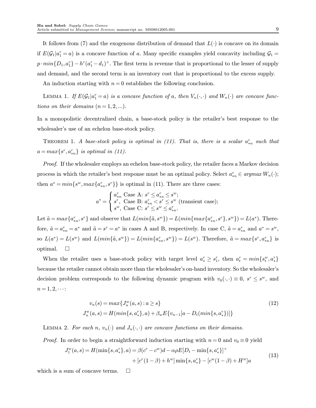It follows from (7) and the exogenous distribution of demand that  $L(\cdot)$  is concave on its domain if  $E(\mathcal{G}_1|a_1^r=a)$  is a concave function of a. Many specific examples yield concavity including  $\mathcal{G}_1$  =  $p \cdot min\{D_1, a_1^r\} - h^r(a_1^r - d_1)^+$ . The first term is revenue that is proportional to the lesser of supply and demand, and the second term is an inventory cost that is proportional to the excess supply.

An induction starting with  $n = 0$  establishes the following conclusion.

LEMMA 1. If  $E(\mathcal{G}_1|a_1^r=a)$  is a concave function of a, then  $V_n(\cdot, \cdot)$  and  $W_n(\cdot)$  are concave functions on their domains  $(n = 1, 2, ...)$ .

In a monopolistic decentralized chain, a base-stock policy is the retailer's best response to the wholesaler's use of an echelon base-stock policy.

THEOREM 1. A base-stock policy is optimal in (11). That is, there is a scalar  $a_{*n}^r$  such that  $a = max\{s^r, a_{*n}^r\}$  is optimal in (11).

Proof. If the wholesaler employs an echelon base-stock policy, the retailer faces a Markov decision process in which the retailer's best response must be an optimal policy. Select  $a_{*n}^r \in argmax W_n(\cdot);$ then  $a^* = min\{s^w, max\{a_{*n}^r, s^r\}\}\$ is optimal in (11). There are three cases:

$$
a^* = \begin{cases} a_{*n}^r \text{ Case A: } s^r \le a_{*n}^r \le s^w; \\ s^r, \text{ Case B: } a_{*n}^r < s^r \le s^w \text{ (transient case)}; \\ s^w, \text{ Case C: } s^r \le s^w \le a_{*n}^r. \end{cases}
$$

Let  $\tilde{a} = max\{a_{*n}^r, s^r\}$  and observe that  $L(min\{\tilde{a}, s^w\}) = L(min\{max\{a_{*n}^r, s^r\}, s^w\}) = L(a^*)$ . Therefore,  $\tilde{a} = a_{*n}^r = a^*$  and  $\tilde{a} = s^r = a^*$  in cases A and B, respectively. In case C,  $\tilde{a} = a_{*n}^r$  and  $a^* = s^w$ , so  $L(a^*) = L(s^w)$  and  $L(min\{\tilde{a}, s^w\}) = L(min\{a_{*n}^r, s^w\}) = L(s^w)$ . Therefore,  $\tilde{a} = max\{s^r, a_{*n}^r\}$  is optimal.  $\Box$ 

When the retailer uses a base-stock policy with target level  $a_*^r \geq s_1^r$ , then  $a_t^r = min\{s_t^w, a_*^r\}$ because the retailer cannot obtain more than the wholesaler's on-hand inventory. So the wholesaler's decision problem corresponds to the following dynamic program with  $v_0(\cdot, \cdot) \equiv 0$ ,  $s^r \leq s^w$ , and  $n = 1, 2, \cdots$ :

$$
v_n(s) = max\{J_n^w(a,s) : a \ge s\}
$$
  
\n
$$
J_n^w(a,s) = H(min\{s,a_*^r\},a) + \beta_w E\{v_{n-1}[a - D_t(min\{s,a_*^r\})]\}
$$
\n
$$
(12)
$$

LEMMA 2. For each n,  $v_n(\cdot)$  and  $J_n(\cdot, \cdot)$  are concave functions on their domains.

*Proof.* In order to begin a straightforward induction starting with  $n = 0$  and  $v_0 \equiv 0$  yield

$$
w(u, s) = H(\min\{s, a_*^r\}, a) = \beta(c^r - c^w)d - \alpha\rho E[D_t - \min\{s, a_*^r\}]^+\n+ [c^r(1 - \beta) + h^w] \min\{s, a_*^r\} - [c^w(1 - \beta) + H^w]a
$$
\n(13)

which is a sum of concave terms.  $\Box$ 

 $\overline{J}$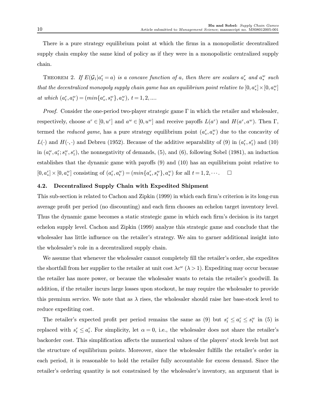There is a pure strategy equilibrium point at which the firms in a monopolistic decentralized supply chain employ the same kind of policy as if they were in a monopolistic centralized supply chain.

THEOREM 2. If  $E(\mathcal{G}_1|a_1^r=a)$  is a concave function of a, then there are scalars  $a_*^r$  and  $a_*^w$  such that the decentralized monopoly supply chain game has an equilibrium point relative to  $[0, a_*^r] \times [0, a_*^w]$ at which  $(a_t^r, a_t^w) = (min\{a_*^r, s_t^w\}, a_*^w), t = 1, 2, ....$ 

*Proof.* Consider the one-period two-player strategic game  $\Gamma$  in which the retailer and wholesaler, respectively, choose  $a^r \in [0, u^r]$  and  $a^w \in [0, u^w]$  and receive payoffs  $L(a^r)$  and  $H(a^r, a^w)$ . Then  $\Gamma$ , termed the *reduced game*, has a pure strategy equilibrium point  $(a_*^r, a_*^w)$  due to the concavity of  $L(\cdot)$  and  $H(\cdot, \cdot)$  and Debreu (1952). Because of the additive separability of (9) in  $(a_t^r, s_1^r)$  and (10) in  $(a_t^w, a_t^r; s_t^w, s_1^r)$ , the nonnegativity of demands, (5), and (6), following Sobel (1981), an induction establishes that the dynamic game with payoffs (9) and (10) has an equilibrium point relative to  $[0, a_*^r] \times [0, a_*^w]$  consisting of  $(a_t^r, a_t^w) = (min\{a_*^r, s_t^w\}, a_*^w)$  for all  $t = 1, 2, \cdots$ .

#### 4.2. Decentralized Supply Chain with Expedited Shipment

This sub-section is related to Cachon and Zipkin (1999) in which each firm's criterion is its long-run average profit per period (no discounting) and each firm chooses an echelon target inventory level. Thus the dynamic game becomes a static strategic game in which each firm's decision is its target echelon supply level. Cachon and Zipkin (1999) analyze this strategic game and conclude that the wholesaler has little influence on the retailer's strategy. We aim to garner additional insight into the wholesaler's role in a decentralized supply chain.

We assume that whenever the wholesaler cannot completely fill the retailer's order, she expedites the shortfall from her supplier to the retailer at unit cost  $\lambda c^w$  ( $\lambda > 1$ ). Expediting may occur because the retailer has more power, or because the wholesaler wants to retain the retailer's goodwill. In addition, if the retailer incurs large losses upon stockout, he may require the wholesaler to provide this premium service. We note that as  $\lambda$  rises, the wholesaler should raise her base-stock level to reduce expediting cost.

The retailer's expected profit per period remains the same as (9) but  $s_t^r \le a_t^r \le s_t^w$  in (5) is replaced with  $s_t^r \le a_t^r$ . For simplicity, let  $\alpha = 0$ , i.e., the wholesaler does not share the retailer's backorder cost. This simplification affects the numerical values of the players' stock levels but not the structure of equilibrium points. Moreover, since the wholesaler fulfills the retailer's order in each period, it is reasonable to hold the retailer fully accountable for excess demand. Since the retailer's ordering quantity is not constrained by the wholesaler's inventory, an argument that is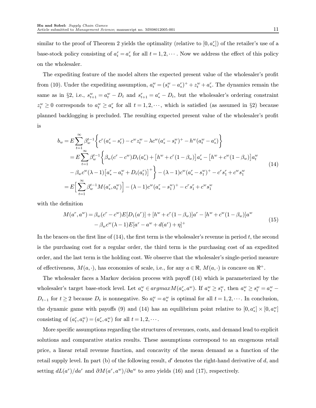similar to the proof of Theorem 2 yields the optimality (relative to  $[0, a_*^r]$ ) of the retailer's use of a base-stock policy consisting of  $a_t^r = a_*^r$  for all  $t = 1, 2, \cdots$ . Now we address the effect of this policy on the wholesaler.

The expediting feature of the model alters the expected present value of the wholesaler's profit from (10). Under the expediting assumption,  $a_t^w = (s_t^w - a_s^r)^+ + z_t^w + a_s^r$ . The dynamics remain the same as in §2, i.e.,  $s_{t+1}^w = a_t^w - D_t$  and  $s_{t+1}^r = a_s^r - D_t$ , but the wholesaler's ordering constraint  $z_t^w \geq 0$  corresponds to  $a_t^w \geq a_*^r$  for all  $t = 1, 2, \dots$ , which is satisfied (as assumed in §2) because planned backlogging is precluded. The resulting expected present value of the wholesaler's profit is

$$
b_w = E \sum_{t=1}^{\infty} \beta_w^{t-1} \left\{ c^r (a_*^r - s_t^r) - c^w z_t^w - \lambda c^w (a_*^r - s_t^w)^+ - h^w (a_t^w - a_*^r) \right\}
$$
  
\n
$$
= E \sum_{t=1}^{\infty} \beta_w^{t-1} \left\{ \beta_w (c^r - c^w) D_t (a_*^r) + \left[ h^w + c^r (1 - \beta_w) \right] a_*^r - \left[ h^w + c^w (1 - \beta_w) \right] a_t^w - \beta_w c^w (\lambda - 1) \left[ a_*^r - a_t^w + D_t (a_t^r) \right]^+ \right\} - (\lambda - 1) c^w (a_*^r - s_1^w)^+ - c^r s_1^r + c^w s_1^w
$$
  
\n
$$
= E \Big[ \sum_{t=1}^{\infty} \beta_w^{t-1} M(a_*^r, a_t^w) \Big] - (\lambda - 1) c^w (a_*^r - s_1^w)^+ - c^r s_1^r + c^w s_1^w
$$
  
\n(14)

with the definition

$$
M(a^r, a^w) = \beta_w(c^r - c^w)E[D_1(a^r)] + [h^w + c^r(1 - \beta_w)]a^r - [h^w + c^w(1 - \beta_w)]a^w
$$
  

$$
- \beta_w c^w(\lambda - 1)E[a^r - a^w + d(a^r) + \eta]^+
$$
 (15)

In the braces on the first line of  $(14)$ , the first term is the wholesaler's revenue in period t, the second is the purchasing cost for a regular order, the third term is the purchasing cost of an expedited order, and the last term is the holding cost. We observe that the wholesaler's single-period measure of effectiveness,  $M(a,\cdot)$ , has economies of scale, i.e., for any  $a \in \Re$ ,  $M(a,\cdot)$  is concave on  $\Re^+$ .

The wholesaler faces a Markov decision process with payoff (14) which is parameterized by the wholesaler's target base-stock level. Let  $a_*^w \in argmax M(a_*^r, a^w)$ . If  $a_*^w \geq s_*^w$ , then  $a_*^w \geq s_t^w = a_*^w$  $D_{t-1}$  for  $t \geq 2$  because  $D_t$  is nonnegative. So  $a_t^w = a_*^w$  is optimal for all  $t = 1, 2, \cdots$ . In conclusion, the dynamic game with payoffs (9) and (14) has an equilibrium point relative to  $[0, a_*^r] \times [0, a_*^w]$ consisting of  $(a_t^r, a_t^w) = (a_s^r, a_s^w)$  for all  $t = 1, 2, \cdots$ .

More specific assumptions regarding the structures of revenues, costs, and demand lead to explicit solutions and comparative statics results. These assumptions correspond to an exogenous retail price, a linear retail revenue function, and concavity of the mean demand as a function of the retail supply level. In part (b) of the following result,  $d'$  denotes the right-hand derivative of d, and setting  $dL(a^r)/da^r$  and  $\partial M(a^r, a^w)/\partial a^w$  to zero yields (16) and (17), respectively.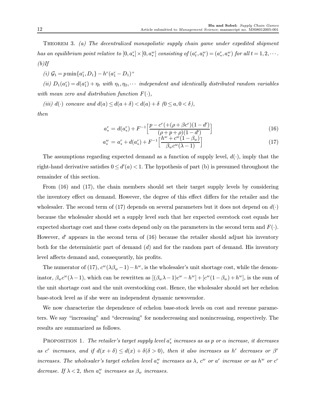THEOREM 3. (a) The decentralized monopolistic supply chain game under expedited shipment has an equilibrium point relative to  $[0, a_*^r] \times [0, a_*^w]$  consisting of  $(a_t^r, a_t^w) = (a_*^r, a_*^w)$  for all  $t = 1, 2, \cdots$ .  $(b)$ If

(i)  $G_1 = p \min\{a_1^r, D_1\} - h^r(a_1^r - D_1)^+$ 

(ii)  $D_1(a_1^r) = d(a_1^r) + \eta_t$  with  $\eta_1, \eta_2, \cdots$  independent and identically distributed random variables with mean zero and distribution function  $F(\cdot)$ ,

(iii)  $d(\cdot)$  concave and  $d(a) \leq d(a+\delta) < d(a) + \delta$   $(0 \leq a, 0 < \delta)$ , then

$$
a_*^r = d(a_*^r) + F^{-1} \left[ \frac{p - c^r + (\rho + \beta c^r)(1 - d')}{(\rho + p + \rho)(1 - d')}\right] \tag{16}
$$

$$
a_*^w = a_*^r + d(a_*^r) + F^{-1} \left[ \frac{h^w + c^w (1 - \beta_w)}{\beta_w c^w (\lambda - 1)} \right]
$$
 (17)

The assumptions regarding expected demand as a function of supply level,  $d(\cdot)$ , imply that the right-hand derivative satisfies  $0 \le d'(a) < 1$ . The hypothesis of part (b) is presumed throughout the remainder of this section.

From (16) and (17), the chain members should set their target supply levels by considering the inventory effect on demand. However, the degree of this effect differs for the retailer and the wholesaler. The second term of (17) depends on several parameters but it does not depend on  $d(\cdot)$ because the wholesaler should set a supply level such that her expected overstock cost equals her expected shortage cost and these costs depend only on the parameters in the second term and  $F(\cdot)$ . However,  $d'$  appears in the second term of  $(16)$  because the retailer should adjust his inventory both for the deterministic part of demand  $(d)$  and for the random part of demand. His inventory level affects demand and, consequently, his profits.

The numerator of (17),  $c^w(\lambda \beta_w - 1) - h^w$ , is the wholesaler's unit shortage cost, while the denominator,  $\beta_w c^w(\lambda-1)$ , which can be rewritten as  $[(\beta_w \lambda-1)c^w - h^w] + [c^w(1-\beta_w) + h^w]$ , is the sum of the unit shortage cost and the unit overstocking cost. Hence, the wholesaler should set her echelon base-stock level as if she were an independent dynamic newsvendor.

We now characterize the dependence of echelon base-stock levels on cost and revenue parameters. We say "increasing" and "decreasing" for nondecreasing and nonincreasing, respectively. The results are summarized as follows.

PROPOSITION 1. The retailer's target supply level  $a_*^r$  increases as as p or  $\alpha$  increase, it decreases as c<sup>r</sup> increases, and if  $d(x + \delta) \leq d(x) + \delta(\delta > 0)$ , then it also increases as h<sup>r</sup> decreases or  $\beta^r$ increases. The wholesaler's target echelon level  $a_*^w$  increases as  $\lambda$ ,  $c^w$  or  $a^r$  increase or as  $h^w$  or  $c^r$ decrease. If  $\lambda < 2$ , then  $a_*^w$  increases as  $\beta_w$  increases.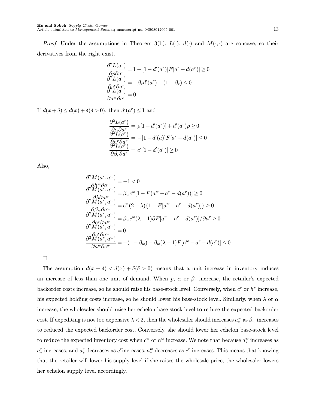*Proof.* Under the assumptions in Theorem 3(b),  $L(\cdot)$ ,  $d(\cdot)$  and  $M(\cdot, \cdot)$  are concave, so their derivatives from the right exist.

$$
\frac{\partial^2 L(a^r)}{\partial p \partial a^r} = 1 - [1 - d'(a^r)]F[a^r - d(a^r)] \ge 0
$$
  

$$
\frac{\partial^2 L(a^r)}{\partial c^r \partial a^r} = -\beta_r d'(a^r) - (1 - \beta_r) \le 0
$$
  

$$
\frac{\partial^2 L(a^r)}{\partial a^w \partial a^r} = 0
$$

If  $d(x+\delta) \leq d(x) + \delta(\delta > 0)$ , then  $d'(a^r) \leq 1$  and

$$
\frac{\partial^2 L(a^r)}{\partial \alpha \partial a^r} = \rho[1 - d'(a^r)] + d'(a^r)\rho \ge 0
$$
  

$$
\frac{\partial^2 L(a^r)}{\partial h^r \partial a^r} = -[1 - d'(a)]F[a^r - d(a^r)] \le 0
$$
  

$$
\frac{\partial^2 L(a^r)}{\partial \beta_r \partial a^r} = c^r[1 - d'(a^r)] \ge 0
$$

Also,

$$
\frac{\partial^2 M(a^r, a^w)}{\partial h^w \partial a^w} = -1 < 0
$$
\n
$$
\frac{\partial^2 M(a^r, a^w)}{\partial \lambda \partial a^w} = \beta_w c^w [1 - F(a^w - a^r - d(a^r))] \ge 0
$$
\n
$$
\frac{\partial^2 M(a^r, a^w)}{\partial \beta_w \partial a^w} = c^w (2 - \lambda) \{1 - F[a^w - a^r - d(a^r)]\} \ge 0
$$
\n
$$
\frac{\partial^2 M(a^r, a^w)}{\partial a^r \partial a^w} = \beta_w c^w (\lambda - 1) \partial F[a^w - a^r - d(a^r)] / \partial a^r \ge 0
$$
\n
$$
\frac{\partial^2 M(a^r, a^w)}{\partial a^r \partial a^w} = 0
$$
\n
$$
\frac{\partial^2 M(a^r, a^w)}{\partial a^w \partial c^w} = -(1 - \beta_w) - \beta_w (\lambda - 1) F[a^w - a^r - d(a^r)] \le 0
$$

 $\Box$ 

The assumption  $d(x + \delta) < d(x) + \delta(\delta > 0)$  means that a unit increase in inventory induces an increase of less than one unit of demand. When  $p$ ,  $\alpha$  or  $\beta_r$  increase, the retailer's expected backorder costs increase, so he should raise his base-stock level. Conversely, when  $c^r$  or  $h^r$  increase, his expected holding costs increase, so he should lower his base-stock level. Similarly, when  $\lambda$  or  $\alpha$ increase, the wholesaler should raise her echelon base-stock level to reduce the expected backorder cost. If expediting is not too expensive  $\lambda < 2$ , then the wholesaler should increases  $a_*^w$  as  $\beta_w$  increases to reduced the expected backorder cost. Conversely, she should lower her echelon base-stock level to reduce the expected inventory cost when  $c^w$  or  $h^w$  increase. We note that because  $a_*^w$  increases as  $a_*^r$  increases, and  $a_*^r$  decreases as  $c^r$  increases,  $a_*^w$  decreases as  $c^r$  increases. This means that knowing that the retailer will lower his supply level if she raises the wholesale price, the wholesaler lowers her echelon supply level accordingly.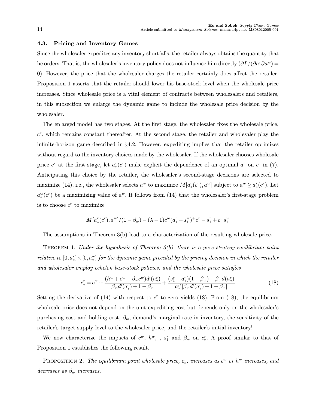#### 4.3. Pricing and Inventory Games

Since the wholesaler expedites any inventory shortfalls, the retailer always obtains the quantity that he orders. That is, the wholesaler's inventory policy does not influence him directly  $(\partial L/(\partial a^r\partial a^w))$ 0). However, the price that the wholesaler charges the retailer certainly does affect the retailer. Proposition 1 asserts that the retailer should lower his base-stock level when the wholesale price increases. Since wholesale price is a vital element of contracts between wholesalers and retailers, in this subsection we enlarge the dynamic game to include the wholesale price decision by the wholesaler.

The enlarged model has two stages. At the first stage, the wholesaler fixes the wholesale price,  $c<sup>r</sup>$ , which remains constant thereafter. At the second stage, the retailer and wholesaler play the infinite-horizon game described in §4.2. However, expediting implies that the retailer optimizes without regard to the inventory choices made by the wholesaler. If the wholesaler chooses wholesale price  $c^r$  at the first stage, let  $a^r_*(c^r)$  make explicit the dependence of an optimal  $a^r$  on  $c^r$  in (7). Anticipating this choice by the retailer, the wholesaler's second-stage decisions are selected to maximize (14), i.e., the wholesaler selects  $a^w$  to maximize  $M[a^r_*(c^r), a^w]$  subject to  $a^w \ge a^r_*(c^r)$ . Let  $a_*^w(c^r)$  be a maximizing value of  $a^w$ . It follows from (14) that the wholesaler's first-stage problem is to choose  $c^r$  to maximize

$$
M[a_*^r(c^r), a^w]/(1-\beta_w) - (\lambda - 1)c^w(a_*^r - s_1^w)^+c^r - s_1^r + c^w s_1^w
$$

The assumptions in Theorem 3(b) lead to a characterization of the resulting wholesale price.

THEOREM 4. Under the hypothesis of Theorem  $3(b)$ , there is a pure strategy equilibrium point  $relative\ to\ [0,a^r_*]\times[0,a^w_*]\ for\ the\ dynamic\ game\ preceded\ by\ the\ pricing\ decision\ in\ which\ the\ retailer$ and wholesaler employ echelon base-stock policies, and the wholesale price satisfies

$$
c_*^r = c^w + \frac{(h^w + c^w - \beta_w c^w) d'(a_*^r)}{\beta_w d'(a_*^r) + 1 - \beta_w} + \frac{(s_1^r - a_*^r)(1 - \beta_w) - \beta_w d(a_*^r)}{a_*^{r'}[\beta_w d'(a_*^r) + 1 - \beta_w]}
$$
(18)

Setting the derivative of  $(14)$  with respect to c<sup>r</sup> to zero yields  $(18)$ . From  $(18)$ , the equilibrium wholesale price does not depend on the unit expediting cost but depends only on the wholesaler's purchasing cost and holding cost,  $\beta_w$ , demand's marginal rate in inventory, the sensitivity of the retailer's target supply level to the wholesaler price, and the retailer's initial inventory!

We now characterize the impacts of  $c^w$ ,  $h^w$ , ,  $s_1^r$  and  $\beta_w$  on  $c_*^r$ . A proof similar to that of Proposition 1 establishes the following result.

PROPOSITION 2. The equilibrium point wholesale price,  $c_*^r$ , increases as  $c^w$  or  $h^w$  increases, and decreases as  $\beta_w$  increases.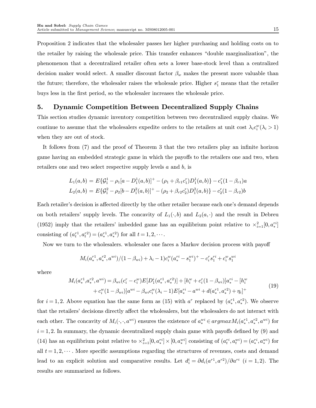Proposition 2 indicates that the wholesaler passes her higher purchasing and holding costs on to the retailer by raising the wholesale price. This transfer enhances "double marginalization", the phenomenon that a decentralized retailer often sets a lower base-stock level than a centralized decision maker would select. A smaller discount factor  $\beta_w$  makes the present more valuable than the future; therefore, the wholesaler raises the wholesale price. Higher  $s_1^r$  means that the retailer buys less in the first period, so the wholesaler increases the wholesale price.

## 5. Dynamic Competition Between Decentralized Supply Chains

This section studies dynamic inventory competition between two decentralized supply chains. We continue to assume that the wholesalers expedite orders to the retailers at unit cost  $\lambda_i c_i^w (\lambda_i > 1)$ when they are out of stock.

It follows from (7) and the proof of Theorem 3 that the two retailers play an infinite horizon game having an embedded strategic game in which the payoffs to the retailers one and two, when retailers one and two select respective supply levels a and b, is

$$
L_1(a,b) = E\{\mathcal{G}_1^1 - \rho_1[a - D_1^1(a,b)]^+ - (\rho_1 + \beta_{r1}c_1^r)D_1^1(a,b)\} - c_1^r(1 - \beta_{r1})a
$$
  

$$
L_2(a,b) = E\{\mathcal{G}_1^2 - \rho_2[b - D_1^2(a,b)]^+ - (\rho_2 + \beta_{r2}c_2^r)D_1^2(a,b)\} - c_2^r(1 - \beta_{r2})b
$$

Each retailer's decision is affected directly by the other retailer because each one's demand depends on both retailers' supply levels. The concavity of  $L_1(\cdot,b)$  and  $L_2(a,\cdot)$  and the result in Debreu (1952) imply that the retailers' imbedded game has an equilibrium point relative to  $\times_{i=1}^{2}[0, a_*^{ri}]$ consisting of  $(a_t^{r_1}, a_t^{r_2}) = (a_*^{r_1}, a_*^{r_2})$  for all  $t = 1, 2, \cdots$ .

Now we turn to the wholesalers. wholesaler one faces a Markov decision process with payoff

$$
M_i(a^{r1}_*, a^{r2}_*, a^{wi})/(1-\beta_{wi}) + \lambda_i - 1)c_i^w(a^{ri}_*, -s^{wi}_1)^+ - c_i^rs_1^{ri} + c_i^ws_1^{wi}
$$

where

$$
M_i(a_*^{r1}, a_*^{r2}, a^{wi}) = \beta_{wi}(c_i^r - c_i^w)E[D_1^i(a_*^{r1}, a_*^{r2})] + [h_i^w + c_i^r(1 - \beta_{wi})]a_*^{ri} - [h_i^w + c_i^w(1 - \beta_{wi})]a^{wi} - \beta_{wi}c_i^w(\lambda_i - 1)E[a_*^{ri} - a^{wi} + d(a_*^{r1}, a_*^{r2}) + \eta_i]^+
$$
(19)

for  $i = 1, 2$ . Above equation has the same form as (15) with  $a^r$  replaced by  $(a_*^{r1}, a_*^{r2})$ . We observe that the retailers' decisions directly affect the wholesalers, but the wholesalers do not interact with each other. The concavity of  $M_i(\cdot,\cdot,a^{wi})$  ensures the existence of  $a^{wi}_* \in argmax M_i(a^{r1}_*, a^{r2}_*, a^{wi})$  for  $i = 1, 2$ . In summary, the dynamic decentralized supply chain game with payoffs defined by  $(9)$  and (14) has an equilibrium point relative to  $\times_{i=1}^2 [0, a_*^{ri}] \times [0, a_*^{wi}]$  consisting of  $(a_t^{ri}, a_t^{wi}) = (a_*^{ri}, a_*^{wi})$  for all  $t = 1, 2, \dots$ . More specific assumptions regarding the structures of revenues, costs and demand lead to an explicit solution and comparative results. Let  $d_i^i = \partial d_i(a^{r_1}, a^{r_2})/\partial a^{r_i}$   $(i = 1, 2)$ . The results are summarized as follows.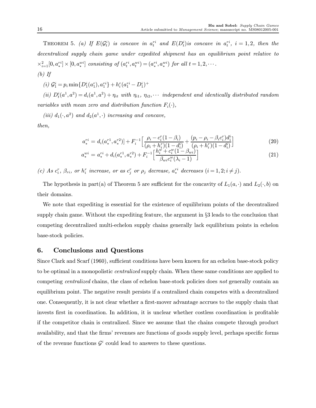THEOREM 5. (a) If  $E(\mathcal{G}_t^i)$  is concave in  $a_t^{ri}$  and  $E(D_t^i)$  is concave in  $a_t^{ri}$ ,  $i = 1, 2$ , then the decentralized supply chain game under expedited shipment has an equilibrium point relative to  $\times_{i=1}^{2}[0,a^{ri}_*]\times[0,a^{wi}_*]$  consisting of  $(a^{ri}_t,a^{wi}_t)=(a^{ri}_*,a^{wi}_*)$  for all  $t=1,2,\cdots$ .

$$
(b) \, \textit{If}
$$

(i)  $G_1^i = p_i \min\{D_1^i(a_1^r), a_1^{ri}\} + h_i^r(a_1^{ri} - D_1^i)^+$ 

(ii)  $D_t^i(a^1, a^2) = d_i(a^1, a^2) + \eta_{it}$  with  $\eta_{i1}, \eta_{i2}, \cdots$  independent and identically distributed random variables with mean zero and distribution function  $F_i(\cdot)$ ,

(iii)  $d_1(\cdot, a^2)$  and  $d_2(a^1, \cdot)$  increasing and concave,

then,

$$
a_{*}^{ri} = d_{i}(a_{*}^{r1}, a_{*}^{r2}) + F_{i}^{-1} \Big[ \frac{\rho_{i} - c_{i}^{r}(1-\beta_{i})}{(\rho_{i} + h_{i}^{r})(1-d_{i}^{i})} + \frac{(p_{i} - \rho_{i} - \beta_{i}c_{i}^{r})d_{i}^{i}}{(\rho_{i} + h_{i}^{r})(1-d_{i}^{i})} \Big]
$$
(20)

$$
a_{*}^{wi} = a_{*}^{ri} + d_{i}(a_{*}^{r1}, a_{*}^{r2}) + F_{i}^{-1} \left[ \frac{h_{i}^{w'} + c_{i}^{w}(1 - \beta_{wi})}{\beta_{wi}c_{i}^{w}(\lambda_{i} - 1)} \right]
$$
(21)

(c) As  $c_i^r$ ,  $\beta_{ri}$ , or  $h_i^r$  increase, or as  $c_j^r$  or  $\rho_j$  decrease,  $a_i^{ri}$  decreases  $(i = 1, 2; i \neq j)$ .

The hypothesis in part(a) of Theorem 5 are sufficient for the concavity of  $L_1(a, \cdot)$  and  $L_2(\cdot, b)$  on their domains.

We note that expediting is essential for the existence of equilibrium points of the decentralized supply chain game. Without the expediting feature, the argument in §3 leads to the conclusion that competing decentralized multi-echelon supply chains generally lack equilibrium points in echelon base-stock policies.

## 6. Conclusions and Questions

Since Clark and Scarf (1960), sufficient conditions have been known for an echelon base-stock policy to be optimal in a monopolistic centralized supply chain. When these same conditions are applied to competing *centralized* chains, the class of echelon base-stock policies does not generally contain an equilibrium point. The negative result persists if a centralized chain competes with a decentralized one. Consequently, it is not clear whether a first-mover advantage accrues to the supply chain that invests first in coordination. In addition, it is unclear whether costless coordination is profitable if the competitor chain is centralized. Since we assume that the chains compete through product availability, and that the firms' revenues are functions of goods supply level, perhaps specific forms of the revenue functions  $\mathcal{G}^i$  could lead to answers to these questions.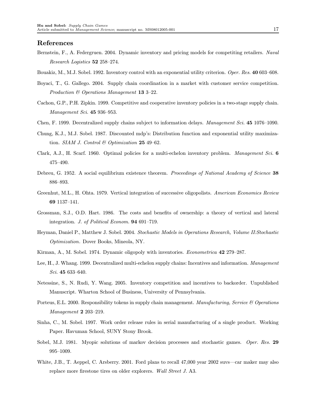#### References

- Bernstein, F., A. Federgruen. 2004. Dynamic inventory and pricing models for competiting retailers. Naval Research Logistics 52 258—274.
- Bouakiz, M., M.J. Sobel. 1992. Inventory control with an exponential utility criterion. Oper. Res. 40 603—608.
- Boyaci, T., G. Gallego. 2004. Supply chain coordination in a market with customer service competition. Production  $\mathcal B$  Operations Management 13 3–22.
- Cachon, G.P., P.H. Zipkin. 1999. Competitive and cooperative inventory policies in a two-stage supply chain. Management Sci. 45 936—953.
- Chen, F. 1999. Decentralized supply chains subject to information delays. Management Sci. 45 1076—1090.
- Chung, K.J., M.J. Sobel. 1987. Discounted mdp's: Distribution function and exponential utility maximization. SIAM J. Control & Optimization  $25$  49-62.
- Clark, A.J., H. Scarf. 1960. Optimal policies for a multi-echelon inventory problem. Management Sci. 6 475—490.
- Debreu, G. 1952. A social equilibrium existence theorem. Proceedings of National Academy of Science 38 886—893.
- Greenhut, M.L., H. Ohta. 1979. Vertical integration of successive oligopolists. American Economics Review 69 1137—141.
- Grossman, S.J., O.D. Hart. 1986. The costs and benefits of ownership: a theory of vertical and lateral integration. J. of Political Econom. 94 691—719.
- Heyman, Daniel P., Matthew J. Sobel. 2004. Stochastic Models in Operations Research, Volume II:Stochastic Optimization. Dover Books, Mineola, NY.
- Kirman, A., M. Sobel. 1974. Dynamic oligopoly with inventories. *Econometrica* 42 279–287.
- Lee, H., J. Whang. 1999. Decentralized multi-echelon supply chains: Incentives and information. Management Sci. 45 633—640.
- Netessine, S., N. Rudi, Y. Wang. 2005. Inventory competition and incentives to backorder. Unpublished Manuscript. Wharton School of Business, University of Pennsylvania.
- Porteus, E.L. 2000. Responsibility tokens in supply chain management. Manufacturing, Service & Operations Management 2 203—219.
- Sinha, C., M. Sobel. 1997. Work order release rules in serial manufacturing of a single product. Working Paper. Havuman School, SUNY Stony Brook.
- Sobel, M.J. 1981. Myopic solutions of markov decision processes and stochastic games. Oper. Res. 29 995—1009.
- White, J.B., T. Aeppel, C. Arsberry. 2001. Ford plans to recall 47,000 year 2002 suvs–car maker may also replace more firestone tires on older explorers. Wall Street J. A3.